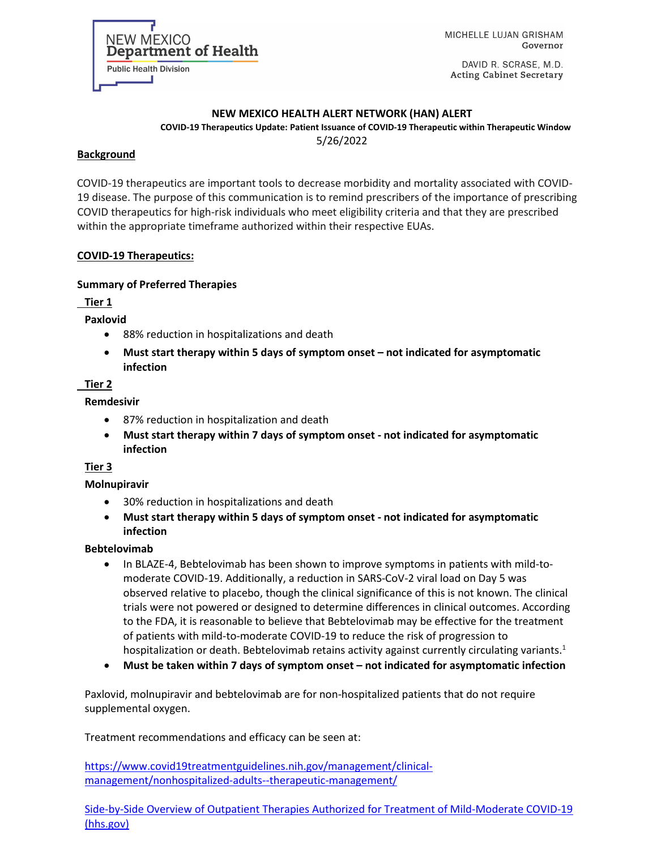MICHELLE LUJAN GRISHAM Governor

DAVID R. SCRASE, M.D. **Acting Cabinet Secretary** 

#### **NEW MEXICO HEALTH ALERT NETWORK (HAN) ALERT**

**COVID-19 Therapeutics Update: Patient Issuance of COVID-19 Therapeutic within Therapeutic Window** 5/26/2022

#### **Background**

 COVID-19 therapeutics are important tools to decrease morbidity and mortality associated with COVID-19 disease. The purpose of this communication is to remind prescribers of the importance of prescribing COVID therapeutics for high-risk individuals who meet eligibility criteria and that they are prescribed within the appropriate timeframe authorized within their respective EUAs.

#### **COVID-19 Therapeutics:**

NEW MEXICO

**Public Health Division** 

**Department of Health** 

#### **Summary of Preferred Therapies**

**Tier 1**

**Paxlovid**

- 88% reduction in hospitalizations and death
- **Must start therapy within 5 days of symptom onset – not indicated for asymptomatic infection**

#### **Tier 2**

#### **Remdesivir**

- 87% reduction in hospitalization and death
- **Must start therapy within 7 days of symptom onset - not indicated for asymptomatic infection**

#### **Tier 3**

#### **Molnupiravir**

- 30% reduction in hospitalizations and death
- **Must start therapy within 5 days of symptom onset - not indicated for asymptomatic infection**

#### **Bebtelovimab**

- In BLAZE-4, Bebtelovimab has been shown to improve symptoms in patients with mild-tomoderate COVID-19. Additionally, a reduction in SARS-CoV-2 viral load on Day 5 was observed relative to placebo, though the clinical significance of this is not known. The clinical trials were not powered or designed to determine differences in clinical outcomes. According to the FDA, it is reasonable to believe that Bebtelovimab may be effective for the treatment of patients with mild-to-moderate COVID-19 to reduce the risk of progression to hospitalization or death. Bebtelovimab retains activity against currently circulating variants.<sup>1</sup>
- **Must be taken within 7 days of symptom onset – not indicated for asymptomatic infection**

Paxlovid, molnupiravir and bebtelovimab are for non-hospitalized patients that do not require supplemental oxygen.

Treatment recommendations and efficacy can be seen at:

[https://www.covid19treatmentguidelines.nih.gov/management/clinical](https://www.covid19treatmentguidelines.nih.gov/management/clinical-management/nonhospitalized-adults--therapeutic-management/)[management/nonhospitalized-adults--therapeutic-management/](https://www.covid19treatmentguidelines.nih.gov/management/clinical-management/nonhospitalized-adults--therapeutic-management/)

[Side-by-Side Overview of Outpatient Therapies Authorized for Treatment of Mild-Moderate COVID-19](https://aspr.hhs.gov/COVID-19/Therapeutics/Documents/side-by-side-overview.pdf)  [\(hhs.gov\)](https://aspr.hhs.gov/COVID-19/Therapeutics/Documents/side-by-side-overview.pdf)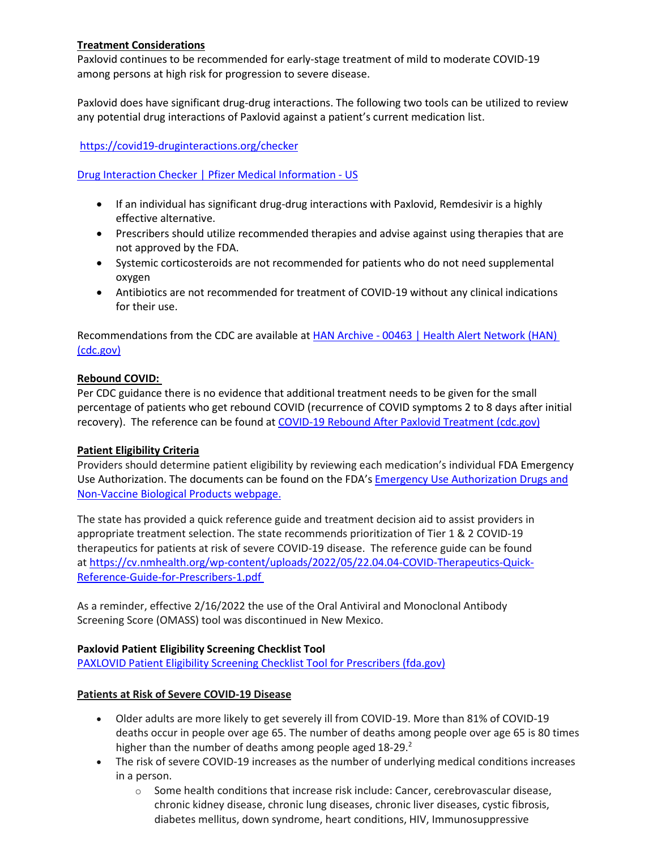#### **Treatment Considerations**

Paxlovid continues to be recommended for early-stage treatment of mild to moderate COVID-19 among persons at high risk for progression to severe disease.

Paxlovid does have significant drug-drug interactions. The following two tools can be utilized to review any potential drug interactions of Paxlovid against a patient's current medication list.

<https://covid19-druginteractions.org/checker>

[Drug Interaction Checker | Pfizer Medical Information -](https://www.pfizermedicalinformation.com/en-us/drug-interaction-checker?product=PAXLOVID%E2%84%A2+%7C+nirmatrelvir+tablets%3B+ritonavir+tablets&product2=Alfuzosin) US

- If an individual has significant drug-drug interactions with Paxlovid, Remdesivir is a highly effective alternative.
- Prescribers should utilize recommended therapies and advise against using therapies that are not approved by the FDA.
- Systemic corticosteroids are not recommended for patients who do not need supplemental oxygen
- Antibiotics are not recommended for treatment of COVID-19 without any clinical indications for their use.

Recommendations from the CDC are available at HAN Archive - 00463 | Health Alert Network (HAN) [\(cdc.gov\)](https://emergency.cdc.gov/han/2022/han00463.asp)

#### **Rebound COVID:**

Per CDC guidance there is no evidence that additional treatment needs to be given for the small percentage of patients who get rebound COVID (recurrence of COVID symptoms 2 to 8 days after initial recovery). The reference can be found at [COVID-19 Rebound After Paxlovid Treatment \(cdc.gov\)](https://emergency.cdc.gov/han/2022/pdf/CDC_HAN_467.pdf)

#### **Patient Eligibility Criteria**

Providers should determine patient eligibility by reviewing each medication's individual FDA Emergency Use Authorization. The documents can be found on the FDA's Emergency Use Authorization Drugs and Non-Vaccine Biological Products webpage.

The state has provided a quick reference guide and treatment decision aid to assist providers in appropriate treatment selection. The state recommends prioritization of Tier 1 & 2 COVID-19 therapeutics for patients at risk of severe COVID-19 disease. The reference guide can be found at [https://cv.nmhealth.org/wp-content/uploads/2022/05/22.04.04-COVID-Therapeutics-Quick-](https://cv.nmhealth.org/wp-content/uploads/2022/05/22.04.04-COVID-Therapeutics-Quick-Reference-Guide-for-Prescribers-1.pdf)[Reference-Guide-for-Prescribers-1.pdf](https://cv.nmhealth.org/wp-content/uploads/2022/05/22.04.04-COVID-Therapeutics-Quick-Reference-Guide-for-Prescribers-1.pdf)

As a reminder, effective 2/16/2022 the use of the Oral Antiviral and Monoclonal Antibody Screening Score (OMASS) tool was discontinued in New Mexico.

#### **Paxlovid Patient Eligibility Screening Checklist Tool**

[PAXLOVID Patient Eligibility Screening Checklist Tool for Prescribers \(fda.gov\)](https://www.fda.gov/media/158165/download)

#### **Patients at Risk of Severe COVID-19 Disease**

- Older adults are more likely to get severely ill from COVID-19. More than 81% of COVID-19 deaths occur in people over age 65. The number of deaths among people over age 65 is 80 times higher than the number of deaths among people aged 18-29.<sup>2</sup>
- The risk of severe COVID-19 increases as the number of underlying medical conditions increases in a person.
	- $\circ$  Some health conditions that increase risk include: Cancer, cerebrovascular disease, chronic kidney disease, chronic lung diseases, chronic liver diseases, cystic fibrosis, diabetes mellitus, down syndrome, heart conditions, HIV, Immunosuppressive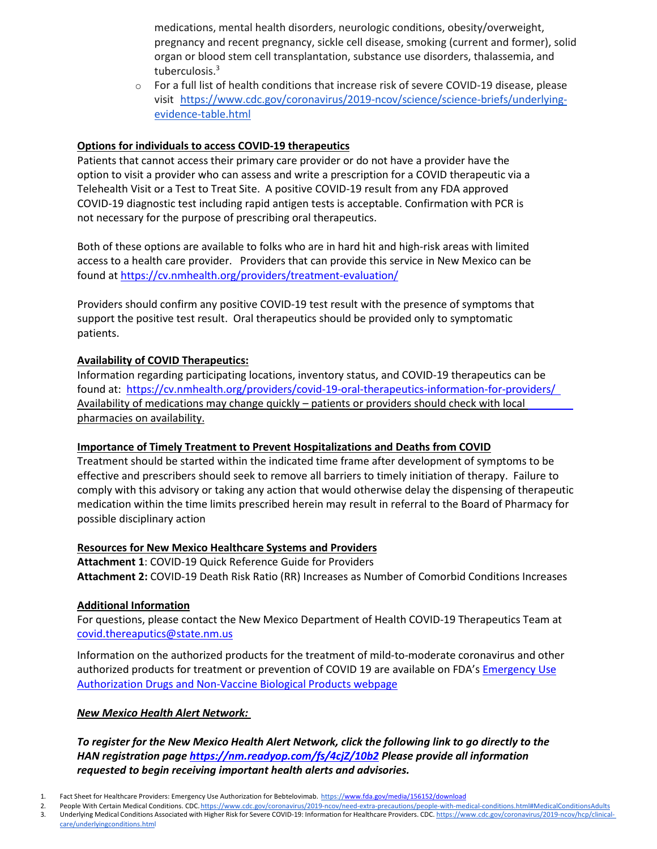medications, mental health disorders, neurologic conditions, obesity/overweight, pregnancy and recent pregnancy, sickle cell disease, smoking (current and former), solid organ or blood stem cell transplantation, substance use disorders, thalassemia, and tuberculosis.3

 $\circ$  For a full list of health conditions that increase risk of severe COVID-19 disease, please visit [https://www.cdc.gov/coronavirus/2019-ncov/science/science-briefs/underlying](https://www.cdc.gov/coronavirus/2019-ncov/science/science-briefs/underlying-evidence-table.html)[evidence-table.html](https://www.cdc.gov/coronavirus/2019-ncov/science/science-briefs/underlying-evidence-table.html)

#### **Options for individuals to access COVID-19 therapeutics**

Patients that cannot access their primary care provider or do not have a provider have the option to visit a provider who can assess and write a prescription for a COVID therapeutic via a Telehealth Visit or a Test to Treat Site. A positive COVID-19 result from any FDA approved COVID-19 diagnostic test including rapid antigen tests is acceptable. Confirmation with PCR is not necessary for the purpose of prescribing oral therapeutics.

Both of these options are available to folks who are in hard hit and high-risk areas with limited access to a health care provider. Providers that can provide this service in New Mexico can be found at<https://cv.nmhealth.org/providers/treatment-evaluation/>

Providers should confirm any positive COVID-19 test result with the presence of symptoms that support the positive test result. Oral therapeutics should be provided only to symptomatic patients.

#### **Availability of COVID Therapeutics:**

Information regarding participating locations, inventory status, and COVID-19 therapeutics can be found at: <https://cv.nmhealth.org/providers/covid-19-oral-therapeutics-information-for-providers/> Availability of medications may change quickly – patients or providers should check with local pharmacies on availability.

#### **Importance of Timely Treatment to Prevent Hospitalizations and Deaths from COVID**

Treatment should be started within the indicated time frame after development of symptoms to be effective and prescribers should seek to remove all barriers to timely initiation of therapy. Failure to comply with this advisory or taking any action that would otherwise delay the dispensing of therapeutic medication within the time limits prescribed herein may result in referral to the Board of Pharmacy for possible disciplinary action

#### **Resources for New Mexico Healthcare Systems and Providers**

**Attachment 1**: COVID-19 Quick Reference Guide for Providers **Attachment 2:** COVID-19 Death Risk Ratio (RR) Increases as Number of Comorbid Conditions Increases

#### **Additional Information**

For questions, please contact the New Mexico Department of Health COVID-19 Therapeutics Team at [covid.thereaputics@state.nm.us](mailto:covid.thereaputics@state.nm.us)

Information on the authorized products for the treatment of mild-to-moderate coronavirus and other authorized products for treatment or prevention of COVID 19 are available on FDA's [Emergency Use](https://gcc02.safelinks.protection.outlook.com/?url=https%3A%2F%2Fwww.fda.gov%2Femergency-preparedness-and-response%2Fmcm-legal-regulatory-and-policy-framework%2Femergency-use-authorization%23coviddrugs&data=04%7C01%7Cchristine.ross%40state.nm.us%7C7cdb19163be645e9dbc208d9c639d3e4%7C04aa6bf4d436426fbfa404b7a70e60ff%7C0%7C0%7C637758773938477580%7CUnknown%7CTWFpbGZsb3d8eyJWIjoiMC4wLjAwMDAiLCJQIjoiV2luMzIiLCJBTiI6Ik1haWwiLCJXVCI6Mn0%3D%7C3000&sdata=V%2FZAUSbaFFAl%2F0HnNw4W7DJ%2Fbm6kCydtgy%2Bf0U3EkvE%3D&reserved=0) [Authorization Drugs and Non-Vaccine Biological Products webpage](https://gcc02.safelinks.protection.outlook.com/?url=https%3A%2F%2Fwww.fda.gov%2Femergency-preparedness-and-response%2Fmcm-legal-regulatory-and-policy-framework%2Femergency-use-authorization%23coviddrugs&data=04%7C01%7Cchristine.ross%40state.nm.us%7C7cdb19163be645e9dbc208d9c639d3e4%7C04aa6bf4d436426fbfa404b7a70e60ff%7C0%7C0%7C637758773938477580%7CUnknown%7CTWFpbGZsb3d8eyJWIjoiMC4wLjAwMDAiLCJQIjoiV2luMzIiLCJBTiI6Ik1haWwiLCJXVCI6Mn0%3D%7C3000&sdata=V%2FZAUSbaFFAl%2F0HnNw4W7DJ%2Fbm6kCydtgy%2Bf0U3EkvE%3D&reserved=0)

#### *New Mexico Health Alert Network:*

*To register for the New Mexico Health Alert Network, click the following link to go directly to the HAN registration page<https://nm.readyop.com/fs/4cjZ/10b2> Please provide all information requested to begin receiving important health alerts and advisories.*

Fact Sheet for Healthcare Providers: Emergency Use Authorization for Bebtelovimab. https:/[/www.fda.gov/media/156152/download](http://www.fda.gov/media/156152/download)

<sup>2.</sup> People With Certain Medical Conditions. CDC. https:/[/www.cdc.gov/coronavirus/2019-ncov/need-extra-precautions/people-with-medical-conditions.html#MedicalConditionsAdults](http://www.cdc.gov/coronavirus/2019-ncov/need-extra-precautions/people-with-medical-conditions.html#MedicalConditionsAdults) 3. Underlying Medical Conditions Associated with Higher Risk for Severe COVID-19: Information for Healthcare Providers. CDC. https:/[/www.cdc.gov/coronavirus/2019-ncov/hcp/clinical](http://www.cdc.gov/coronavirus/2019-ncov/hcp/clinical-)care/underlyingconditions.html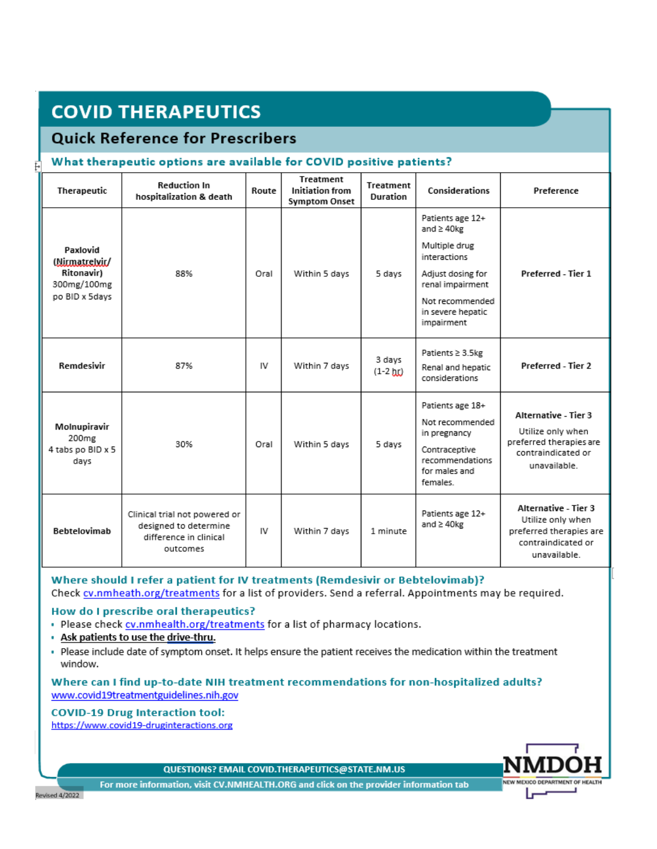# **COVID THERAPEUTICS**

### **Quick Reference for Prescribers**

#### What therapeutic options are available for COVID positive patients?

| Therapeutic                                                                      | <b>Reduction In</b><br>hospitalization & death                                               | Route | <b>Treatment</b><br><b>Initiation from</b><br><b>Symptom Onset</b> | Treatment<br><b>Duration</b> | Considerations                                                                                                                                                      | Preference                                                                                                 |
|----------------------------------------------------------------------------------|----------------------------------------------------------------------------------------------|-------|--------------------------------------------------------------------|------------------------------|---------------------------------------------------------------------------------------------------------------------------------------------------------------------|------------------------------------------------------------------------------------------------------------|
| Paxlovid<br>(Mirmatrelvir/<br><b>Ritonavir)</b><br>300mg/100mg<br>po BID x 5days | 88%                                                                                          | Oral  | Within 5 days                                                      | 5 days                       | Patients age 12+<br>and $\geq$ 40kg<br>Multiple drug<br>interactions<br>Adjust dosing for<br>renal impairment<br>Not recommended<br>in severe hepatic<br>impairment | Preferred - Tier 1                                                                                         |
| Remdesivir                                                                       | 87%                                                                                          | IV    | Within 7 days                                                      | 3 days<br>$(1-2)$ hr)        | Patients ≥ 3.5kg<br>Renal and hepatic<br>considerations                                                                                                             | Preferred - Tier 2                                                                                         |
| Molnupiravir<br>200 <sub>mg</sub><br>4 tabs po BID x 5<br>days                   | 30%                                                                                          | Oral  | Within 5 days                                                      | 5 days                       | Patients age 18+<br>Not recommended<br>in pregnancy<br>Contraceptive<br>recommendations<br>for males and<br>females.                                                | Alternative - Tier 3<br>Utilize only when<br>preferred therapies are<br>contraindicated or<br>unavailable. |
| Bebtelovimab                                                                     | Clinical trial not powered or<br>designed to determine<br>difference in clinical<br>outcomes | IV    | Within 7 days                                                      | 1 minute                     | Patients age 12+<br>and $\geq 40$ kg                                                                                                                                | Alternative - Tier 3<br>Utilize only when<br>preferred therapies are<br>contraindicated or<br>unavailable. |

Where should I refer a patient for IV treatments (Remdesivir or Bebtelovimab)? Check cv.nmheath.org/treatments for a list of providers. Send a referral. Appointments may be required.

#### How do I prescribe oral therapeutics?

- . Please check cv.nmhealth.org/treatments for a list of pharmacy locations.
- . Ask patients to use the drive-thru.
- . Please include date of symptom onset. It helps ensure the patient receives the medication within the treatment window.

#### Where can I find up-to-date NIH treatment recommendations for non-hospitalized adults? www.covid19treatmentguidelines.nih.gov

#### **COVID-19 Drug Interaction tool:**

https://www.covid19-druginteractions.org



NEW MEXICO DEPARTMENT OF HEALTH

For more information, visit CV.NMHEALTH.ORG and click on the provider information tab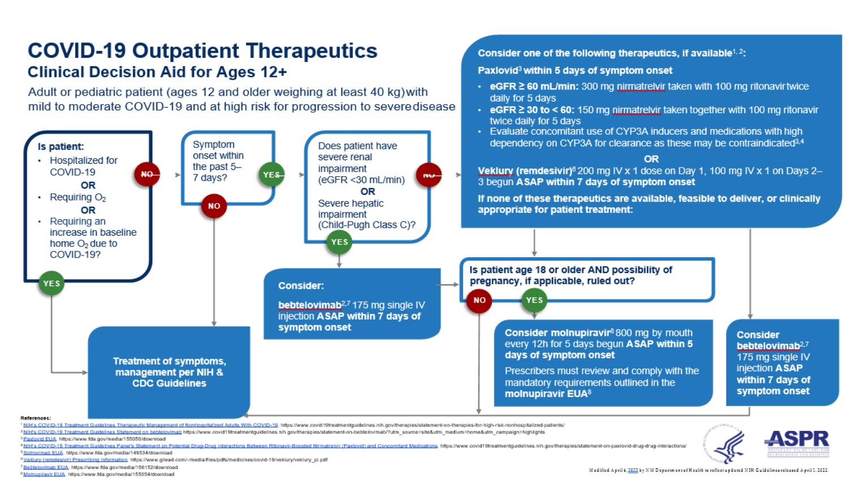# **COVID-19 Outpatient Therapeutics Clinical Decision Aid for Ages 12+**

Adult or pediatric patient (ages 12 and older weighing at least 40 kg) with mild to moderate COVID-19 and at high risk for progression to severedisease



Freatment Guidelines Therapeutic Management of Nonhospitalized Adults With COVID-19. https://www.covid19treatmentguidelines.nih.gov/therapies/statement-on-therapies-for-high-risk-nonhospitalized-patients/

2NIH's COVID-19 Treatment Guidelines Statement on bebtelovimab https://www.covid19treatmentguidelines.nih.gov/therapies/statement-on-bebtelovimab/?utm\_source=site&utm\_medium=home&utm\_campaign=highlights

<sup>3</sup> Paxiovid EUA, https://www.fda.gov/media/155050/download

vir-Boosted Nirmatreivir (Paxlovid) and Concomitant Medications, https://www.covid19treatmentguidelines.nih.gov/therapies/statement-on-paxlovid-drug-drug-interactions/ <sup>4</sup> NIH's COVID-19 Treatment Guidelines Par ab EUA. https://www.fda.gov/media/149534/download

<sup>6</sup>Veklury (remdesivir) Prescribing Information, https://www.gliead.com/-/media/files/pdfs/medicines/covid-19/veklury/veklury\_pi.pdf

Consider one of the following therapeutics, if available<sup>1, 2</sup>:

• eGFR ≥ 60 mL/min: 300 mg nirmatrelvir taken with 100 mg ritonavir twice

• eGFR  $\geq$  30 to < 60: 150 mg nirmatrelyir taken together with 100 mg ritonavir

Paxlovid<sup>3</sup> within 5 days of symptom onset

daily for 5 days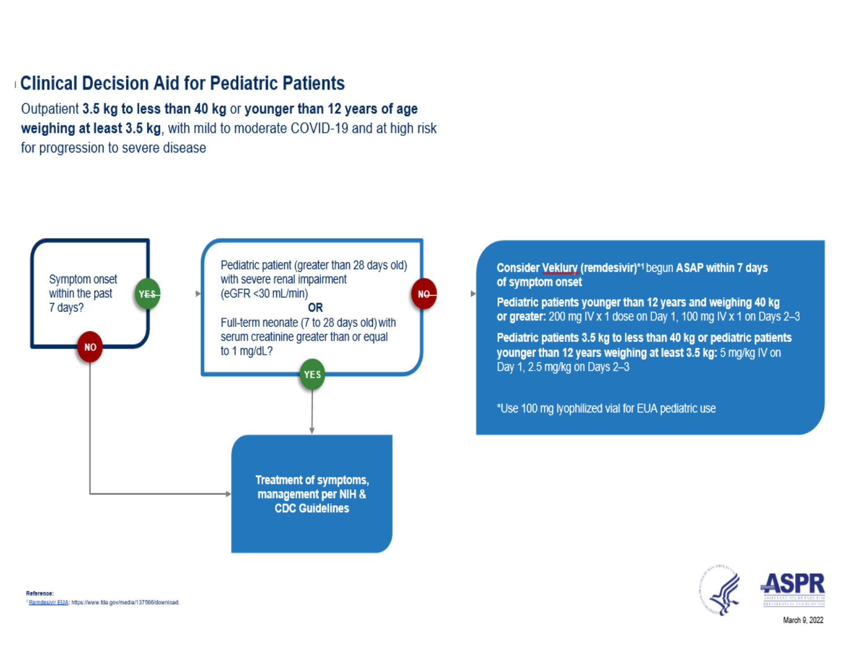## **Clinical Decision Aid for Pediatric Patients**

Outpatient 3.5 kg to less than 40 kg or younger than 12 years of age weighing at least 3.5 kg, with mild to moderate COVID-19 and at high risk for progression to severe disease



Consider Veklury (remdesivir)\*1 begun ASAP within 7 days of symptom onset

Pediatric patients younger than 12 years and weighing 40 kg or greater: 200 mg IV x 1 dose on Day 1, 100 mg IV x 1 on Days 2-3

Pediatric patients 3.5 kg to less than 40 kg or pediatric patients younger than 12 years weighing at least 3.5 kg: 5 mg/kg IV on Day 1, 2.5 mg/kg on Days 2-3

\*Use 100 mg lyophilized vial for EUA pediatric use

Þ.